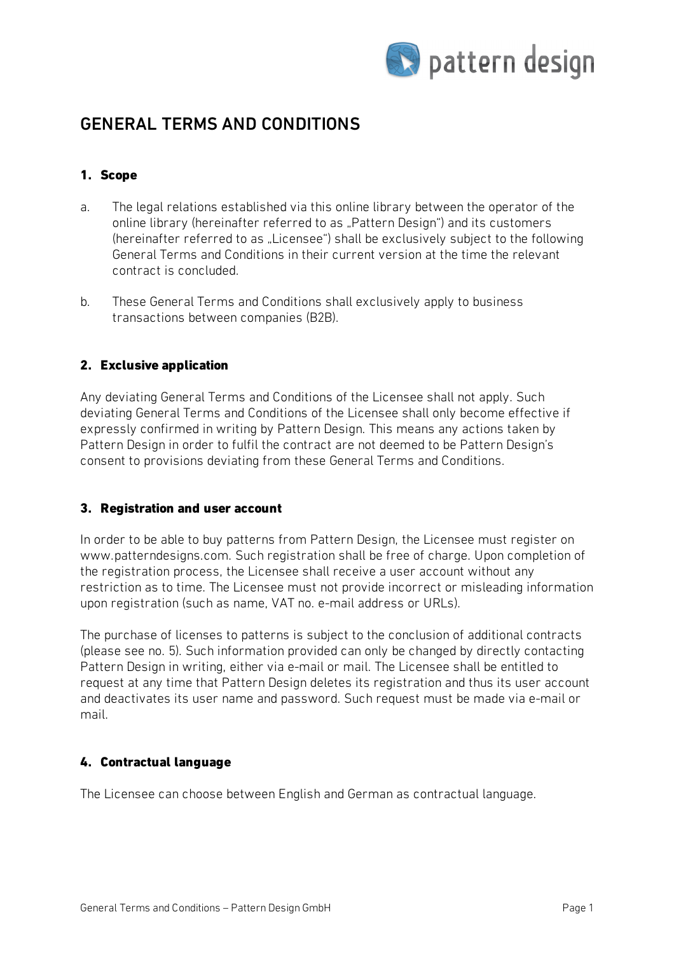

# GENERAL TERMS AND CONDITIONS

# 1. Scope

- a. The legal relations established via this online library between the operator of the online library (hereinafter referred to as "Pattern Design") and its customers (hereinafter referred to as "Licensee") shall be exclusively subject to the following General Terms and Conditions in their current version at the time the relevant contract is concluded.
- b. These General Terms and Conditions shall exclusively apply to business transactions between companies (B2B).

# 2. Exclusive application

Any deviating General Terms and Conditions of the Licensee shall not apply. Such deviating General Terms and Conditions of the Licensee shall only become effective if expressly confirmed in writing by Pattern Design. This means any actions taken by Pattern Design in order to fulfil the contract are not deemed to be Pattern Design's consent to provisions deviating from these General Terms and Conditions.

# 3. Registration and user account

In order to be able to buy patterns from Pattern Design, the Licensee must register on www.patterndesigns.com. Such registration shall be free of charge. Upon completion of the registration process, the Licensee shall receive a user account without any restriction as to time. The Licensee must not provide incorrect or misleading information upon registration (such as name, VAT no. e-mail address or URLs).

The purchase of licenses to patterns is subject to the conclusion of additional contracts (please see no. 5). Such information provided can only be changed by directly contacting Pattern Design in writing, either via e-mail or mail. The Licensee shall be entitled to request at any time that Pattern Design deletes its registration and thus its user account and deactivates its user name and password. Such request must be made via e-mail or mail.

# 4. Contractual language

The Licensee can choose between English and German as contractual language.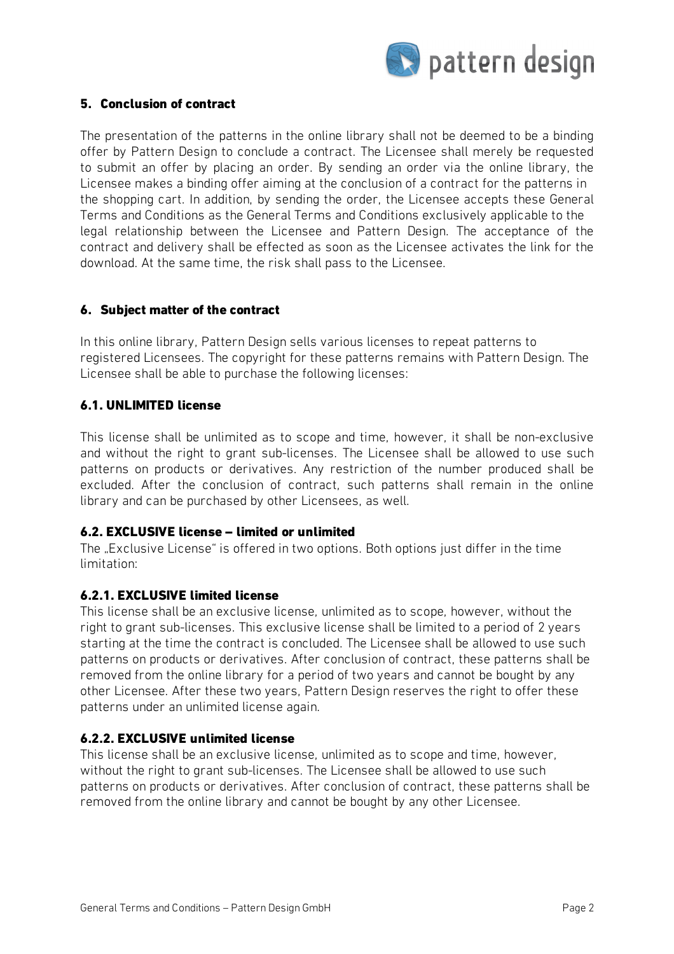

## 5. Conclusion of contract

The presentation of the patterns in the online library shall not be deemed to be a binding offer by Pattern Design to conclude a contract. The Licensee shall merely be requested to submit an offer by placing an order. By sending an order via the online library, the Licensee makes a binding offer aiming at the conclusion of a contract for the patterns in the shopping cart. In addition, by sending the order, the Licensee accepts these General Terms and Conditions as the General Terms and Conditions exclusively applicable to the legal relationship between the Licensee and Pattern Design. The acceptance of the contract and delivery shall be effected as soon as the Licensee activates the link for the download. At the same time, the risk shall pass to the Licensee.

## 6. Subject matter of the contract

In this online library, Pattern Design sells various licenses to repeat patterns to registered Licensees. The copyright for these patterns remains with Pattern Design. The Licensee shall be able to purchase the following licenses:

## 6.1. UNLIMITED license

This license shall be unlimited as to scope and time, however, it shall be non-exclusive and without the right to grant sub-licenses. The Licensee shall be allowed to use such patterns on products or derivatives. Any restriction of the number produced shall be excluded. After the conclusion of contract, such patterns shall remain in the online library and can be purchased by other Licensees, as well.

#### 6.2. EXCLUSIVE license – limited or unlimited

The "Exclusive License" is offered in two options. Both options just differ in the time limitation:

#### 6.2.1. EXCLUSIVE limited license

This license shall be an exclusive license, unlimited as to scope, however, without the right to grant sub-licenses. This exclusive license shall be limited to a period of 2 years starting at the time the contract is concluded. The Licensee shall be allowed to use such patterns on products or derivatives. After conclusion of contract, these patterns shall be removed from the online library for a period of two years and cannot be bought by any other Licensee. After these two years, Pattern Design reserves the right to offer these patterns under an unlimited license again.

# 6.2.2. EXCLUSIVE unlimited license

This license shall be an exclusive license, unlimited as to scope and time, however, without the right to grant sub-licenses. The Licensee shall be allowed to use such patterns on products or derivatives. After conclusion of contract, these patterns shall be removed from the online library and cannot be bought by any other Licensee.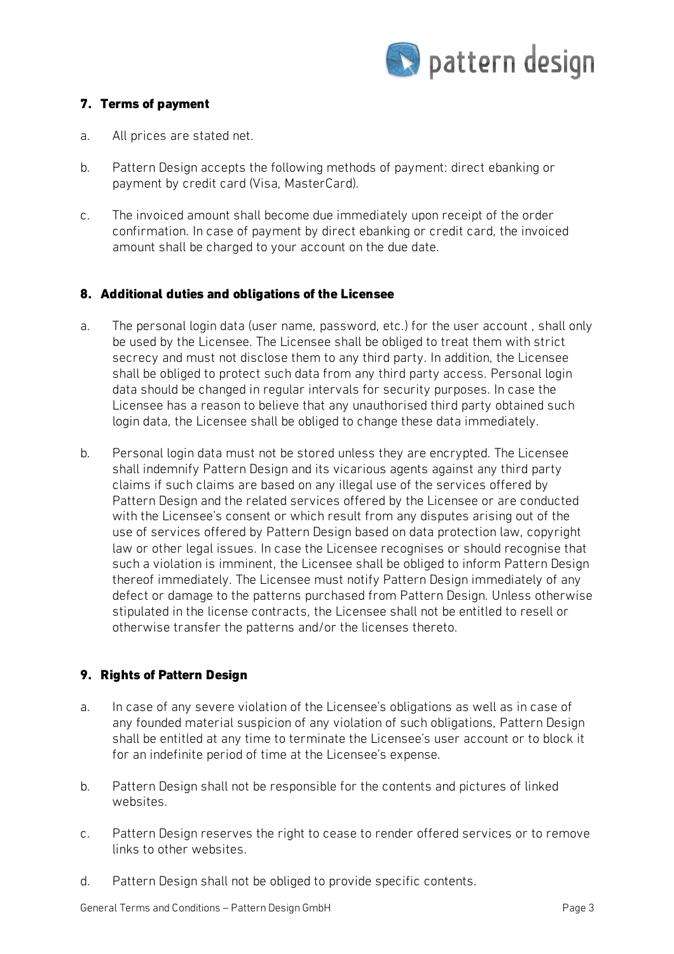

# 7. Terms of payment

- a. All prices are stated net.
- b. Pattern Design accepts the following methods of payment: direct ebanking or payment by credit card (Visa, MasterCard).
- c. The invoiced amount shall become due immediately upon receipt of the order confirmation. In case of payment by direct ebanking or credit card, the invoiced amount shall be charged to your account on the due date.

# 8. Additional duties and obligations of the Licensee

- a. The personal login data (user name, password, etc.) for the user account , shall only be used by the Licensee. The Licensee shall be obliged to treat them with strict secrecy and must not disclose them to any third party. In addition, the Licensee shall be obliged to protect such data from any third party access. Personal login data should be changed in regular intervals for security purposes. In case the Licensee has a reason to believe that any unauthorised third party obtained such login data, the Licensee shall be obliged to change these data immediately.
- b. Personal login data must not be stored unless they are encrypted. The Licensee shall indemnify Pattern Design and its vicarious agents against any third party claims if such claims are based on any illegal use of the services offered by Pattern Design and the related services offered by the Licensee or are conducted with the Licensee's consent or which result from any disputes arising out of the use of services offered by Pattern Design based on data protection law, copyright law or other legal issues. In case the Licensee recognises or should recognise that such a violation is imminent, the Licensee shall be obliged to inform Pattern Design thereof immediately. The Licensee must notify Pattern Design immediately of any defect or damage to the patterns purchased from Pattern Design. Unless otherwise stipulated in the license contracts, the Licensee shall not be entitled to resell or otherwise transfer the patterns and/or the licenses thereto.

# 9. Rights of Pattern Design

- a. In case of any severe violation of the Licensee's obligations as well as in case of any founded material suspicion of any violation of such obligations, Pattern Design shall be entitled at any time to terminate the Licensee's user account or to block it for an indefinite period of time at the Licensee's expense.
- b. Pattern Design shall not be responsible for the contents and pictures of linked websites.
- c. Pattern Design reserves the right to cease to render offered services or to remove links to other websites.
- d. Pattern Design shall not be obliged to provide specific contents.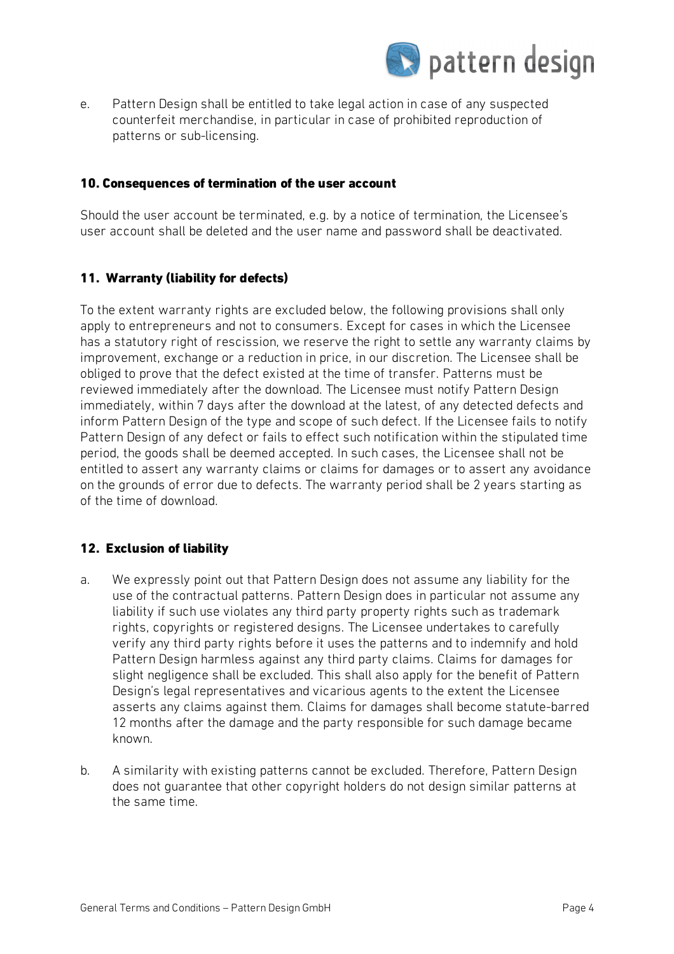

e. Pattern Design shall be entitled to take legal action in case of any suspected counterfeit merchandise, in particular in case of prohibited reproduction of patterns or sub-licensing.

#### 10. Consequences of termination of the user account

Should the user account be terminated, e.g. by a notice of termination, the Licensee's user account shall be deleted and the user name and password shall be deactivated.

## 11. Warranty (liability for defects)

To the extent warranty rights are excluded below, the following provisions shall only apply to entrepreneurs and not to consumers. Except for cases in which the Licensee has a statutory right of rescission, we reserve the right to settle any warranty claims by improvement, exchange or a reduction in price, in our discretion. The Licensee shall be obliged to prove that the defect existed at the time of transfer. Patterns must be reviewed immediately after the download. The Licensee must notify Pattern Design immediately, within 7 days after the download at the latest, of any detected defects and inform Pattern Design of the type and scope of such defect. If the Licensee fails to notify Pattern Design of any defect or fails to effect such notification within the stipulated time period, the goods shall be deemed accepted. In such cases, the Licensee shall not be entitled to assert any warranty claims or claims for damages or to assert any avoidance on the grounds of error due to defects. The warranty period shall be 2 years starting as of the time of download.

#### 12. Exclusion of liability

- a. We expressly point out that Pattern Design does not assume any liability for the use of the contractual patterns. Pattern Design does in particular not assume any liability if such use violates any third party property rights such as trademark rights, copyrights or registered designs. The Licensee undertakes to carefully verify any third party rights before it uses the patterns and to indemnify and hold Pattern Design harmless against any third party claims. Claims for damages for slight negligence shall be excluded. This shall also apply for the benefit of Pattern Design's legal representatives and vicarious agents to the extent the Licensee asserts any claims against them. Claims for damages shall become statute-barred 12 months after the damage and the party responsible for such damage became known.
- b. A similarity with existing patterns cannot be excluded. Therefore, Pattern Design does not guarantee that other copyright holders do not design similar patterns at the same time.